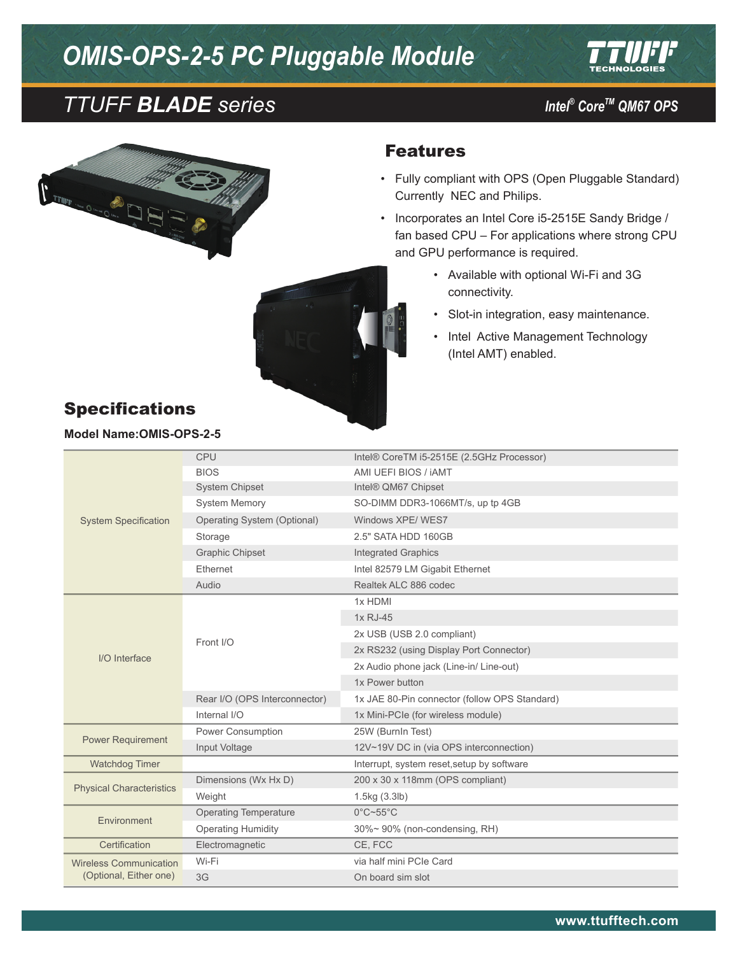# *OMIS-OPS-2-5 PC Pluggable Module*









- • Fully compliant with OPS (Open Pluggable Standard) Currently NEC and Philips.
- • Incorporates an Intel Core i5-2515E Sandy Bridge / fan based CPU – For applications where strong CPU and GPU performance is required.
	- • Available with optional Wi-Fi and 3G connectivity.
	- • Slot-in integration, easy maintenance.
	- Intel Active Management Technology (Intel AMT) enabled.

| <b>Specifications</b> |  |
|-----------------------|--|
|-----------------------|--|

**Model Name:OMIS-OPS-2-5**

| <b>System Specification</b>                             | <b>CPU</b>                    | Intel® CoreTM i5-2515E (2.5GHz Processor)     |
|---------------------------------------------------------|-------------------------------|-----------------------------------------------|
|                                                         | <b>BIOS</b>                   | AMI UEFI BIOS / IAMT                          |
|                                                         | <b>System Chipset</b>         | Intel® QM67 Chipset                           |
|                                                         | <b>System Memory</b>          | SO-DIMM DDR3-1066MT/s, up tp 4GB              |
|                                                         | Operating System (Optional)   | Windows XPE/WES7                              |
|                                                         | Storage                       | 2.5" SATA HDD 160GB                           |
|                                                         | <b>Graphic Chipset</b>        | <b>Integrated Graphics</b>                    |
|                                                         | Ethernet                      | Intel 82579 LM Gigabit Ethernet               |
|                                                         | Audio                         | Realtek ALC 886 codec                         |
| $I/O$ Interface                                         | Front I/O                     | 1x HDMI                                       |
|                                                         |                               | 1x RJ-45                                      |
|                                                         |                               | 2x USB (USB 2.0 compliant)                    |
|                                                         |                               | 2x RS232 (using Display Port Connector)       |
|                                                         |                               | 2x Audio phone jack (Line-in/ Line-out)       |
|                                                         |                               | 1x Power button                               |
|                                                         | Rear I/O (OPS Interconnector) | 1x JAE 80-Pin connector (follow OPS Standard) |
|                                                         | Internal I/O                  | 1x Mini-PCIe (for wireless module)            |
| <b>Power Requirement</b>                                | Power Consumption             | 25W (BurnIn Test)                             |
|                                                         | Input Voltage                 | 12V~19V DC in (via OPS interconnection)       |
| Watchdog Timer                                          |                               | Interrupt, system reset, setup by software    |
| <b>Physical Characteristics</b>                         | Dimensions (Wx Hx D)          | 200 x 30 x 118mm (OPS compliant)              |
|                                                         | Weight                        | 1.5kg (3.3lb)                                 |
|                                                         | <b>Operating Temperature</b>  | $0^{\circ}$ C~55 $^{\circ}$ C                 |
| Environment                                             | <b>Operating Humidity</b>     | 30%~90% (non-condensing, RH)                  |
| Certification                                           | Electromagnetic               | CE, FCC                                       |
| <b>Wireless Communication</b><br>(Optional, Either one) | Wi-Fi                         | via half mini PCIe Card                       |
|                                                         | 3G                            | On board sim slot                             |